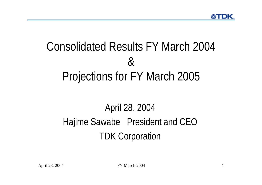# Consolidated Results FY March 2004&Projections for FY March 2005

## April 28, 2004 Hajime Sawabe President and CEO TDK Corporation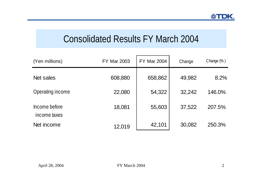## Consolidated Results FY March 2004

| (Yen millions)                | <b>FY Mar 2003</b> | <b>FY Mar 2004</b> | Change | Change $(\%)$ |
|-------------------------------|--------------------|--------------------|--------|---------------|
| Net sales                     | 608,880            | 658,862            | 49,982 | 8.2%          |
| Operating income              | 22,080             | 54,322             | 32,242 | 146.0%        |
| Income before<br>income taxes | 18,081             | 55,603             | 37,522 | 207.5%        |
| Net income                    | 12,019             | 42,101             | 30,082 | 250.3%        |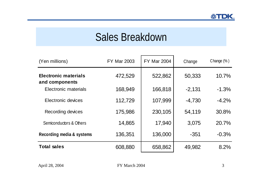## Sales Breakdown

| (Yen millions)                                | <b>FY Mar 2003</b> | <b>FY Mar 2004</b> | Change   | Change $(\%)$ |
|-----------------------------------------------|--------------------|--------------------|----------|---------------|
| <b>Electronic materials</b><br>and components | 472,529            | 522,862            | 50,333   | 10.7%         |
| Electronic materials                          | 168,949            | 166,818            | $-2,131$ | $-1.3%$       |
| Electronic devices                            | 112,729            | 107,999            | $-4,730$ | $-4.2%$       |
| Recording devices                             | 175,986            | 230,105            | 54,119   | 30.8%         |
| Semiconductors & Others                       | 14,865             | 17,940             | 3,075    | 20.7%         |
| Recording media & systems                     | 136,351            | 136,000            | $-351$   | $-0.3%$       |
| <b>Total sales</b>                            | 608,880            | 658,862            | 49,982   | 8.2%          |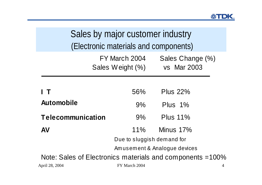| Sales by major customer industry<br>(Electronic materials and components)   |       |                 |  |  |  |  |
|-----------------------------------------------------------------------------|-------|-----------------|--|--|--|--|
| FY March 2004<br>Sales Change (%)<br><b>vs</b> Mar 2003<br>Sales Weight (%) |       |                 |  |  |  |  |
| <b>Plus 22%</b><br>56%<br>$\top$                                            |       |                 |  |  |  |  |
| <b>Automobile</b>                                                           | $9\%$ | Plus $1\%$      |  |  |  |  |
| <b>Telecommunication</b>                                                    | $9\%$ | <b>Plus 11%</b> |  |  |  |  |
| <b>AV</b>                                                                   | 11%   | Minus $17\%$    |  |  |  |  |
| Due to sluggish demand for                                                  |       |                 |  |  |  |  |
| Amusement & Analogue devices                                                |       |                 |  |  |  |  |
| Note: Sales of Electronics materials and components = 100%                  |       |                 |  |  |  |  |
| April 28, 2004<br>FY March 2004<br>4                                        |       |                 |  |  |  |  |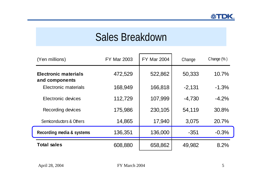## Sales Breakdown

| (Yen millions)                                | <b>FY Mar 2003</b> | <b>FY Mar 2004</b> | Change   | Change $(\%)$ |
|-----------------------------------------------|--------------------|--------------------|----------|---------------|
| <b>Electronic materials</b><br>and components | 472,529            | 522,862            | 50,333   | 10.7%         |
| Electronic materials                          | 168,949            | 166,818            | $-2,131$ | $-1.3%$       |
| Electronic devices                            | 112,729            | 107,999            | $-4,730$ | $-4.2%$       |
| Recording devices                             | 175,986            | 230,105            | 54,119   | 30.8%         |
| Semiconductors & Others                       | 14,865             | 17,940             | 3,075    | 20.7%         |
| Recording media & systems                     | 136,351            | 136,000            | $-351$   | $-0.3%$       |
| <b>Total sales</b>                            | 608,880            | 658,862            | 49,982   | 8.2%          |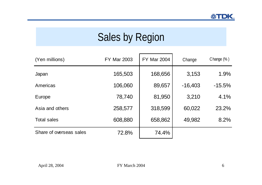# Sales by Region

| (Yen millions)          | <b>FY Mar 2003</b> | <b>FY Mar 2004</b> | Change    | Change $(\%)$ |
|-------------------------|--------------------|--------------------|-----------|---------------|
| Japan                   | 165,503            | 168,656            | 3,153     | 1.9%          |
| Americas                | 106,060            | 89,657             | $-16,403$ | $-15.5%$      |
| Europe                  | 78,740             | 81,950             | 3,210     | 4.1%          |
| Asia and others         | 258,577            | 318,599            | 60,022    | 23.2%         |
| <b>Total sales</b>      | 608,880            | 658,862            | 49,982    | 8.2%          |
| Share of overseas sales | 72.8%              | 74.4%              |           |               |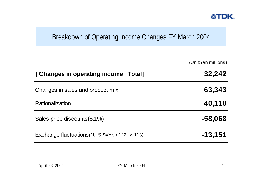#### Breakdown of Operating Income Changes FY March 2004

(Unit:Yen millions)

| [Changes in operating income Total]                          | 32,242    |
|--------------------------------------------------------------|-----------|
| Changes in sales and product mix                             | 63,343    |
| Rationalization                                              | 40,118    |
| Sales price discounts (8.1%)                                 | $-58,068$ |
| Exchange fluctuations $(1U.S.\$ = Yen $122 \rightarrow 113)$ | $-13,151$ |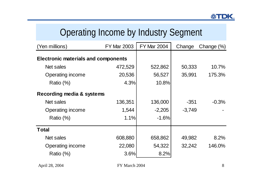## Operating Income by Industry Segment

| (Yen millions)                             | <b>FY Mar 2003</b> | <b>FY Mar 2004</b> | Change   | Change $(\%)$ |
|--------------------------------------------|--------------------|--------------------|----------|---------------|
| <b>Electronic materials and components</b> |                    |                    |          |               |
| Net sales                                  | 472,529            | 522,862            | 50,333   | 10.7%         |
| Operating income                           | 20,536             | 56,527             | 35,991   | 175.3%        |
| Ratio $(\%)$                               | 4.3%               | 10.8%              |          |               |
| Recording media & systems                  |                    |                    |          |               |
| Net sales                                  | 136,351            | 136,000            | $-351$   | $-0.3%$       |
| Operating income                           | 1,544              | $-2,205$           | $-3,749$ |               |
| Ratio $(\%)$                               | 1.1%               | $-1.6%$            |          |               |
| <b>Total</b>                               |                    |                    |          |               |
| Net sales                                  | 608,880            | 658,862            | 49,982   | 8.2%          |
| Operating income                           | 22,080             | 54,322             | 32,242   | 146.0%        |
| Ratio (%)                                  | 3.6%               | 8.2%               |          |               |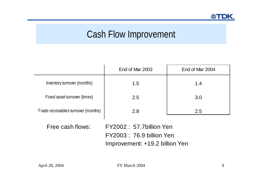## Cash Flow Improvement

|                                     | End of Mar 2003 | End of Mar 2004 |
|-------------------------------------|-----------------|-----------------|
| Inventory turnover (months)         | 1.5             | 1.4             |
| Fixed asset turnover (times)        | 2.5             | 3.0             |
| Trade receivables turnover (months) | 2.8             | 2.5             |

Free cash flows: FY2002 : 57.7billion YenFY2003 : 76.9 billion Yen Improvement: +19.2 billion Yen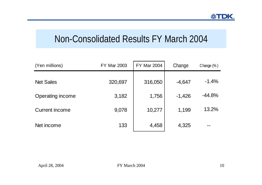### Non-Consolidated Results FY March 2004

| (Yen millions)          | <b>FY Mar 2003</b> | <b>FY Mar 2004</b> | Change   | Change $(\%)$ |
|-------------------------|--------------------|--------------------|----------|---------------|
| <b>Net Sales</b>        | 320,697            | 316,050            | $-4,647$ | $-1.4%$       |
| <b>Operating income</b> | 3,182              | 1,756              | $-1,426$ | $-44.8%$      |
| Current income          | 9,078              | 10,277             | 1,199    | 13.2%         |
| Net income              | 133                | 4,458              | 4,325    |               |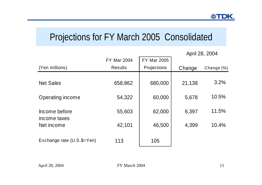### Projections for FY March 2005 Consolidated

|                               |                    |                    |        | April 28, 2004 |
|-------------------------------|--------------------|--------------------|--------|----------------|
|                               | <b>FY Mar 2004</b> | <b>FY Mar 2005</b> |        |                |
| (Yen millions)                | <b>Results</b>     | Projections        | Change | Change (%)     |
| <b>Net Sales</b>              | 658,862            | 680,000            | 21,138 | 3.2%           |
| Operating income              | 54,322             | 60,000             | 5,678  | 10.5%          |
| Income before<br>income taxes | 55,603             | 62,000             | 6,397  | 11.5%          |
| Net income                    | 42,101             | 46,500             | 4,399  | 10.4%          |
| Exchange rate (U.S.\$=Yen)    | 113                | 105                |        |                |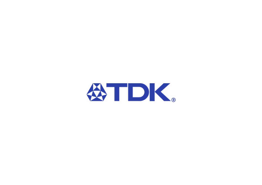